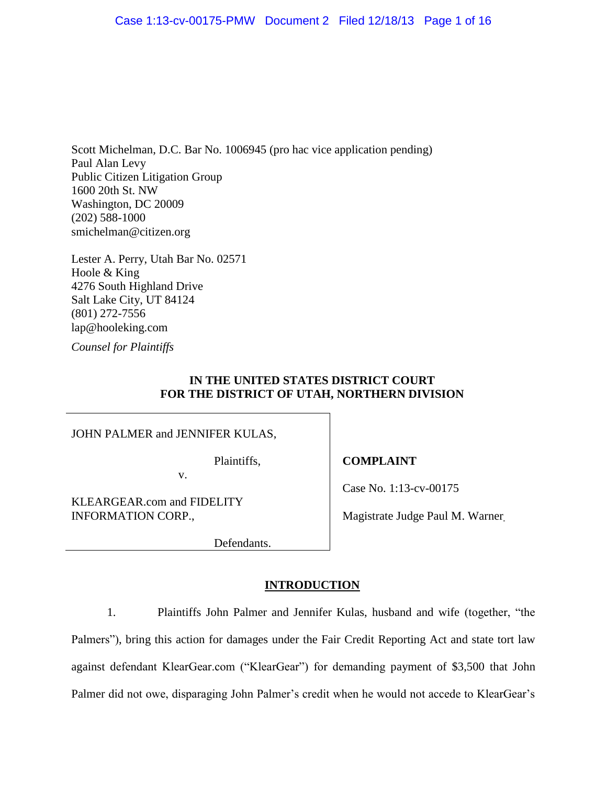Scott Michelman, D.C. Bar No. 1006945 (pro hac vice application pending) Paul Alan Levy Public Citizen Litigation Group 1600 20th St. NW Washington, DC 20009 (202) 588-1000 smichelman@citizen.org

Lester A. Perry, Utah Bar No. 02571 Hoole & King 4276 South Highland Drive Salt Lake City, UT 84124 (801) 272-7556 lap@hooleking.com

*Counsel for Plaintiffs*

## **IN THE UNITED STATES DISTRICT COURT FOR THE DISTRICT OF UTAH, NORTHERN DIVISION**

JOHN PALMER and JENNIFER KULAS,

Plaintiffs,

v.

KLEARGEAR.com and FIDELITY INFORMATION CORP.,

**COMPLAINT**

Case No. 1:13-cv-00175

Magistrate Judge Paul M. Warner\_

Defendants.

# **INTRODUCTION**

1. Plaintiffs John Palmer and Jennifer Kulas, husband and wife (together, "the Palmers"), bring this action for damages under the Fair Credit Reporting Act and state tort law against defendant KlearGear.com ("KlearGear") for demanding payment of \$3,500 that John Palmer did not owe, disparaging John Palmer's credit when he would not accede to KlearGear's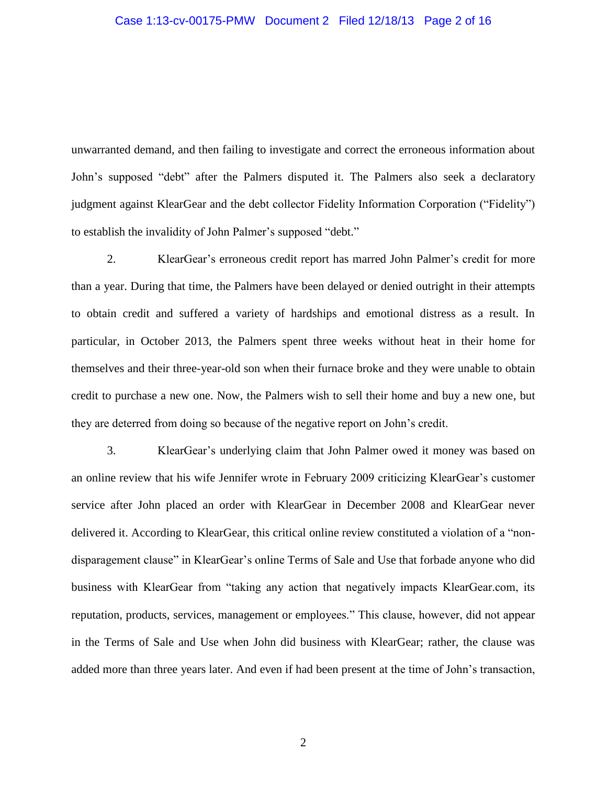#### Case 1:13-cv-00175-PMW Document 2 Filed 12/18/13 Page 2 of 16

unwarranted demand, and then failing to investigate and correct the erroneous information about John's supposed "debt" after the Palmers disputed it. The Palmers also seek a declaratory judgment against KlearGear and the debt collector Fidelity Information Corporation ("Fidelity") to establish the invalidity of John Palmer's supposed "debt."

2. KlearGear's erroneous credit report has marred John Palmer's credit for more than a year. During that time, the Palmers have been delayed or denied outright in their attempts to obtain credit and suffered a variety of hardships and emotional distress as a result. In particular, in October 2013, the Palmers spent three weeks without heat in their home for themselves and their three-year-old son when their furnace broke and they were unable to obtain credit to purchase a new one. Now, the Palmers wish to sell their home and buy a new one, but they are deterred from doing so because of the negative report on John's credit.

3. KlearGear's underlying claim that John Palmer owed it money was based on an online review that his wife Jennifer wrote in February 2009 criticizing KlearGear's customer service after John placed an order with KlearGear in December 2008 and KlearGear never delivered it. According to KlearGear, this critical online review constituted a violation of a "nondisparagement clause" in KlearGear's online Terms of Sale and Use that forbade anyone who did business with KlearGear from "taking any action that negatively impacts KlearGear.com, its reputation, products, services, management or employees." This clause, however, did not appear in the Terms of Sale and Use when John did business with KlearGear; rather, the clause was added more than three years later. And even if had been present at the time of John's transaction,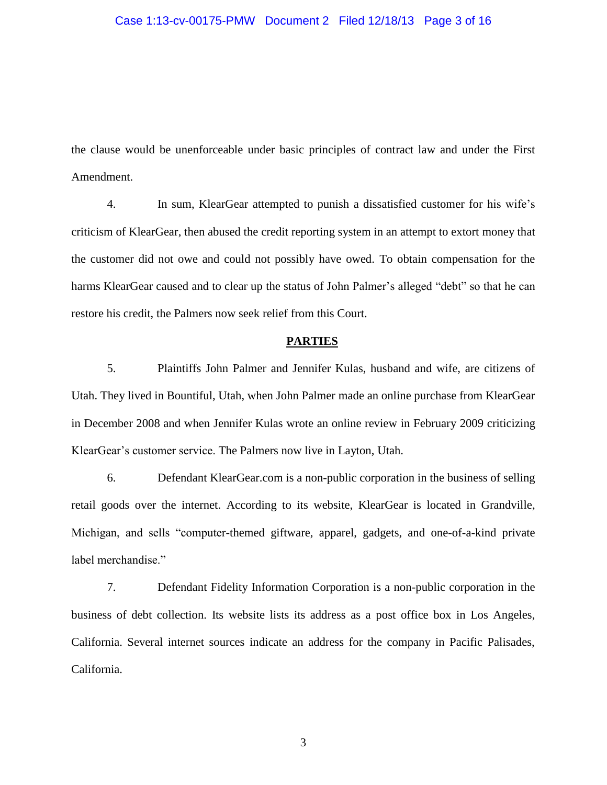#### Case 1:13-cv-00175-PMW Document 2 Filed 12/18/13 Page 3 of 16

the clause would be unenforceable under basic principles of contract law and under the First Amendment.

4. In sum, KlearGear attempted to punish a dissatisfied customer for his wife's criticism of KlearGear, then abused the credit reporting system in an attempt to extort money that the customer did not owe and could not possibly have owed. To obtain compensation for the harms KlearGear caused and to clear up the status of John Palmer's alleged "debt" so that he can restore his credit, the Palmers now seek relief from this Court.

#### **PARTIES**

5. Plaintiffs John Palmer and Jennifer Kulas, husband and wife, are citizens of Utah. They lived in Bountiful, Utah, when John Palmer made an online purchase from KlearGear in December 2008 and when Jennifer Kulas wrote an online review in February 2009 criticizing KlearGear's customer service. The Palmers now live in Layton, Utah.

6. Defendant KlearGear.com is a non-public corporation in the business of selling retail goods over the internet. According to its website, KlearGear is located in Grandville, Michigan, and sells "computer-themed giftware, apparel, gadgets, and one-of-a-kind private label merchandise."

7. Defendant Fidelity Information Corporation is a non-public corporation in the business of debt collection. Its website lists its address as a post office box in Los Angeles, California. Several internet sources indicate an address for the company in Pacific Palisades, California.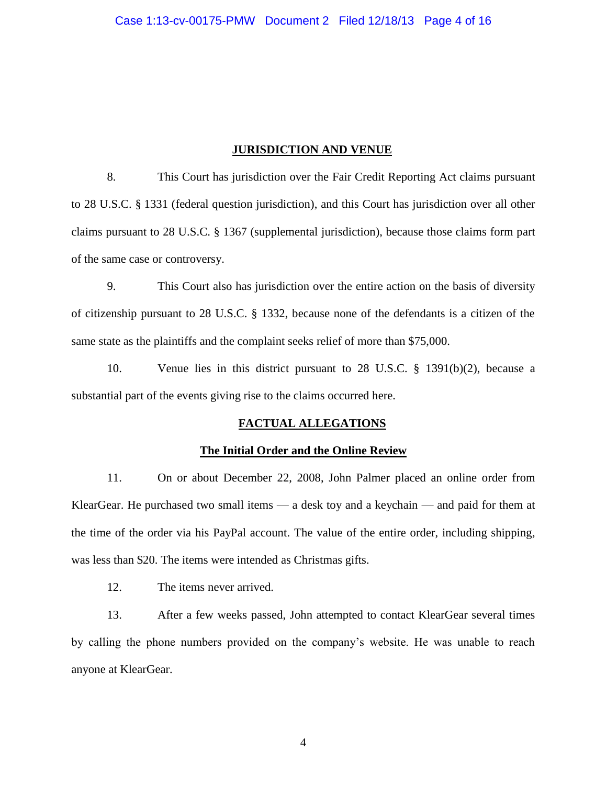### **JURISDICTION AND VENUE**

8. This Court has jurisdiction over the Fair Credit Reporting Act claims pursuant to 28 U.S.C. § 1331 (federal question jurisdiction), and this Court has jurisdiction over all other claims pursuant to 28 U.S.C. § 1367 (supplemental jurisdiction), because those claims form part of the same case or controversy.

9. This Court also has jurisdiction over the entire action on the basis of diversity of citizenship pursuant to 28 U.S.C. § 1332, because none of the defendants is a citizen of the same state as the plaintiffs and the complaint seeks relief of more than \$75,000.

10. Venue lies in this district pursuant to 28 U.S.C. § 1391(b)(2), because a substantial part of the events giving rise to the claims occurred here.

### **FACTUAL ALLEGATIONS**

# **The Initial Order and the Online Review**

11. On or about December 22, 2008, John Palmer placed an online order from KlearGear. He purchased two small items — a desk toy and a keychain — and paid for them at the time of the order via his PayPal account. The value of the entire order, including shipping, was less than \$20. The items were intended as Christmas gifts.

12. The items never arrived.

13. After a few weeks passed, John attempted to contact KlearGear several times by calling the phone numbers provided on the company's website. He was unable to reach anyone at KlearGear.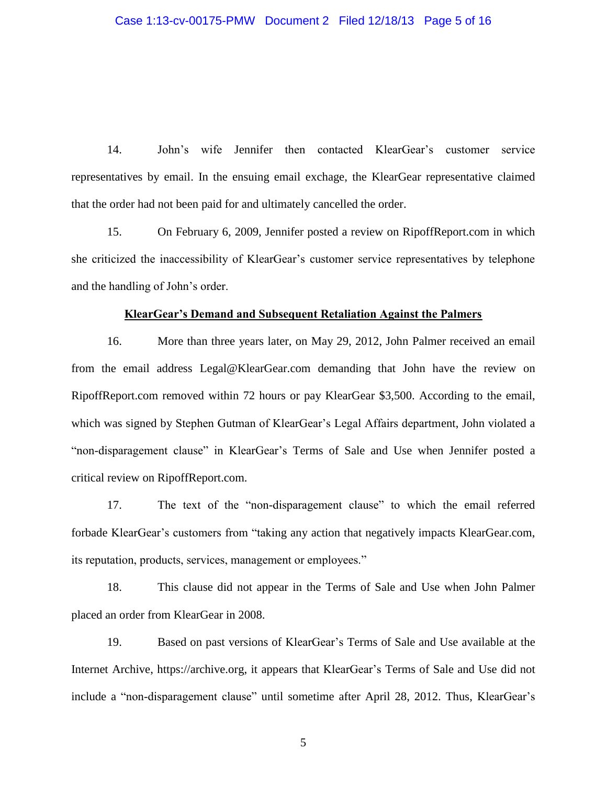14. John's wife Jennifer then contacted KlearGear's customer service representatives by email. In the ensuing email exchage, the KlearGear representative claimed that the order had not been paid for and ultimately cancelled the order.

15. On February 6, 2009, Jennifer posted a review on RipoffReport.com in which she criticized the inaccessibility of KlearGear's customer service representatives by telephone and the handling of John's order.

#### **KlearGear's Demand and Subsequent Retaliation Against the Palmers**

16. More than three years later, on May 29, 2012, John Palmer received an email from the email address Legal@KlearGear.com demanding that John have the review on RipoffReport.com removed within 72 hours or pay KlearGear \$3,500. According to the email, which was signed by Stephen Gutman of KlearGear's Legal Affairs department, John violated a "non-disparagement clause" in KlearGear's Terms of Sale and Use when Jennifer posted a critical review on RipoffReport.com.

17. The text of the "non-disparagement clause" to which the email referred forbade KlearGear's customers from "taking any action that negatively impacts KlearGear.com, its reputation, products, services, management or employees."

18. This clause did not appear in the Terms of Sale and Use when John Palmer placed an order from KlearGear in 2008.

19. Based on past versions of KlearGear's Terms of Sale and Use available at the Internet Archive, https://archive.org, it appears that KlearGear's Terms of Sale and Use did not include a "non-disparagement clause" until sometime after April 28, 2012. Thus, KlearGear's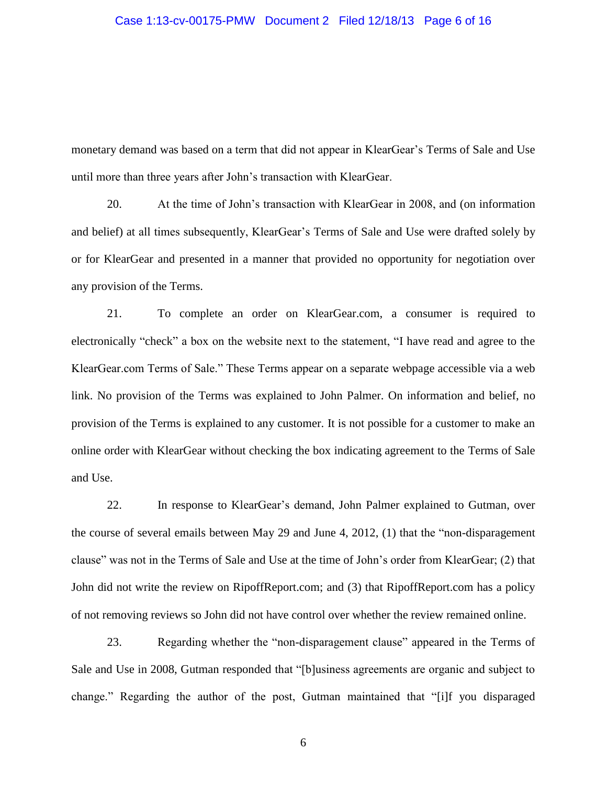monetary demand was based on a term that did not appear in KlearGear's Terms of Sale and Use until more than three years after John's transaction with KlearGear.

20. At the time of John's transaction with KlearGear in 2008, and (on information and belief) at all times subsequently, KlearGear's Terms of Sale and Use were drafted solely by or for KlearGear and presented in a manner that provided no opportunity for negotiation over any provision of the Terms.

21. To complete an order on KlearGear.com, a consumer is required to electronically "check" a box on the website next to the statement, "I have read and agree to the KlearGear.com Terms of Sale." These Terms appear on a separate webpage accessible via a web link. No provision of the Terms was explained to John Palmer. On information and belief, no provision of the Terms is explained to any customer. It is not possible for a customer to make an online order with KlearGear without checking the box indicating agreement to the Terms of Sale and Use.

22. In response to KlearGear's demand, John Palmer explained to Gutman, over the course of several emails between May 29 and June 4, 2012, (1) that the "non-disparagement clause" was not in the Terms of Sale and Use at the time of John's order from KlearGear; (2) that John did not write the review on RipoffReport.com; and (3) that RipoffReport.com has a policy of not removing reviews so John did not have control over whether the review remained online.

23. Regarding whether the "non-disparagement clause" appeared in the Terms of Sale and Use in 2008, Gutman responded that "[b]usiness agreements are organic and subject to change." Regarding the author of the post, Gutman maintained that "[i]f you disparaged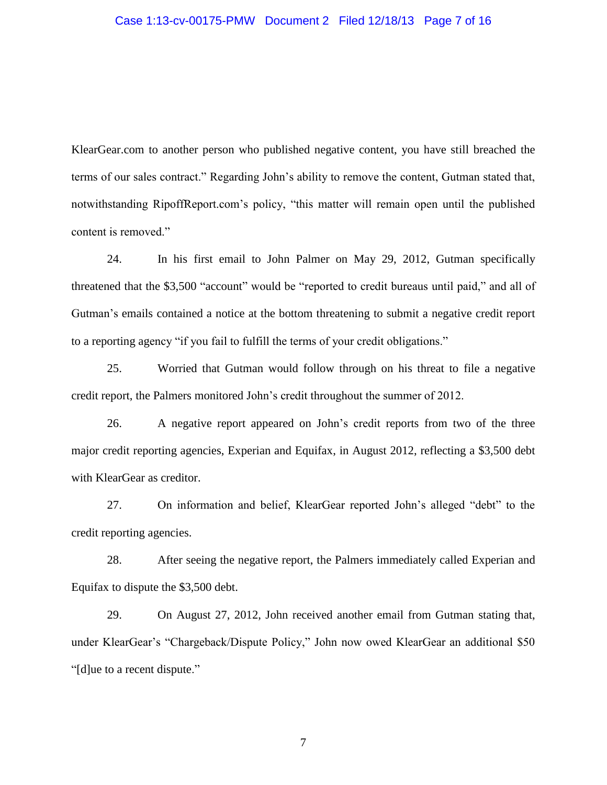#### Case 1:13-cv-00175-PMW Document 2 Filed 12/18/13 Page 7 of 16

KlearGear.com to another person who published negative content, you have still breached the terms of our sales contract." Regarding John's ability to remove the content, Gutman stated that, notwithstanding RipoffReport.com's policy, "this matter will remain open until the published content is removed."

24. In his first email to John Palmer on May 29, 2012, Gutman specifically threatened that the \$3,500 "account" would be "reported to credit bureaus until paid," and all of Gutman's emails contained a notice at the bottom threatening to submit a negative credit report to a reporting agency "if you fail to fulfill the terms of your credit obligations."

25. Worried that Gutman would follow through on his threat to file a negative credit report, the Palmers monitored John's credit throughout the summer of 2012.

26. A negative report appeared on John's credit reports from two of the three major credit reporting agencies, Experian and Equifax, in August 2012, reflecting a \$3,500 debt with KlearGear as creditor.

27. On information and belief, KlearGear reported John's alleged "debt" to the credit reporting agencies.

28. After seeing the negative report, the Palmers immediately called Experian and Equifax to dispute the \$3,500 debt.

29. On August 27, 2012, John received another email from Gutman stating that, under KlearGear's "Chargeback/Dispute Policy," John now owed KlearGear an additional \$50 "[d]ue to a recent dispute."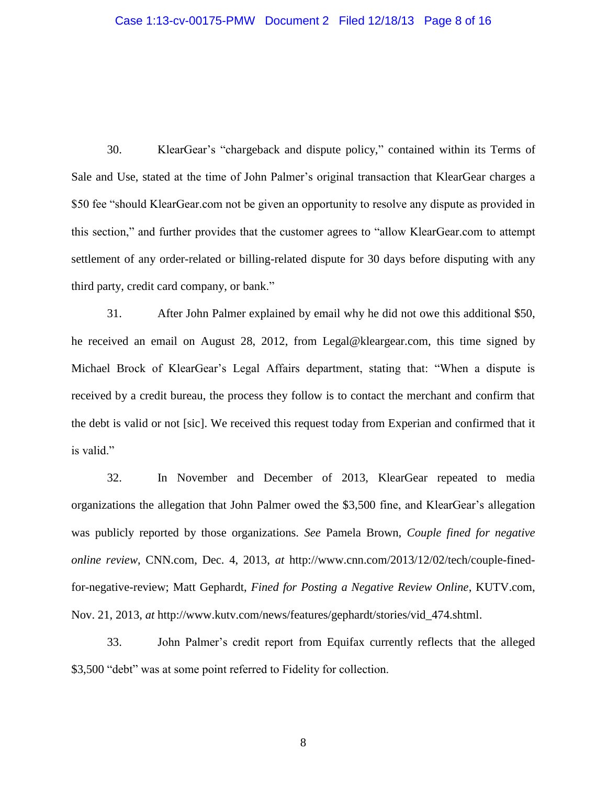30. KlearGear's "chargeback and dispute policy," contained within its Terms of Sale and Use, stated at the time of John Palmer's original transaction that KlearGear charges a \$50 fee "should KlearGear.com not be given an opportunity to resolve any dispute as provided in this section," and further provides that the customer agrees to "allow KlearGear.com to attempt settlement of any order-related or billing-related dispute for 30 days before disputing with any third party, credit card company, or bank."

31. After John Palmer explained by email why he did not owe this additional \$50, he received an email on August 28, 2012, from Legal@kleargear.com, this time signed by Michael Brock of KlearGear's Legal Affairs department, stating that: "When a dispute is received by a credit bureau, the process they follow is to contact the merchant and confirm that the debt is valid or not [sic]. We received this request today from Experian and confirmed that it is valid."

32. In November and December of 2013, KlearGear repeated to media organizations the allegation that John Palmer owed the \$3,500 fine, and KlearGear's allegation was publicly reported by those organizations. *See* Pamela Brown, *Couple fined for negative online review*, CNN.com, Dec. 4, 2013, *at* http://www.cnn.com/2013/12/02/tech/couple-finedfor-negative-review; Matt Gephardt, *Fined for Posting a Negative Review Online*, KUTV.com, Nov. 21, 2013, *at* http://www.kutv.com/news/features/gephardt/stories/vid\_474.shtml.

33. John Palmer's credit report from Equifax currently reflects that the alleged \$3,500 "debt" was at some point referred to Fidelity for collection.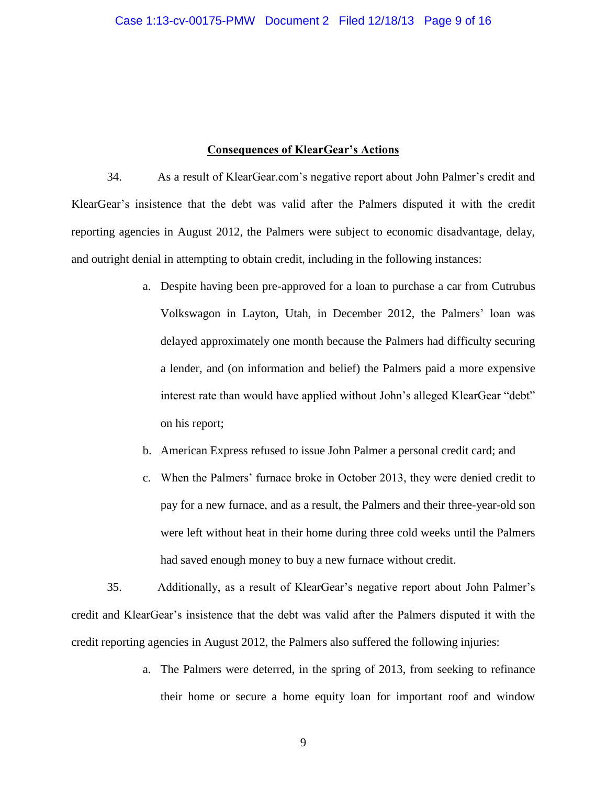#### **Consequences of KlearGear's Actions**

34. As a result of KlearGear.com's negative report about John Palmer's credit and KlearGear's insistence that the debt was valid after the Palmers disputed it with the credit reporting agencies in August 2012, the Palmers were subject to economic disadvantage, delay, and outright denial in attempting to obtain credit, including in the following instances:

- a. Despite having been pre-approved for a loan to purchase a car from Cutrubus Volkswagon in Layton, Utah, in December 2012, the Palmers' loan was delayed approximately one month because the Palmers had difficulty securing a lender, and (on information and belief) the Palmers paid a more expensive interest rate than would have applied without John's alleged KlearGear "debt" on his report;
- b. American Express refused to issue John Palmer a personal credit card; and
- c. When the Palmers' furnace broke in October 2013, they were denied credit to pay for a new furnace, and as a result, the Palmers and their three-year-old son were left without heat in their home during three cold weeks until the Palmers had saved enough money to buy a new furnace without credit.

35. Additionally, as a result of KlearGear's negative report about John Palmer's credit and KlearGear's insistence that the debt was valid after the Palmers disputed it with the credit reporting agencies in August 2012, the Palmers also suffered the following injuries:

> a. The Palmers were deterred, in the spring of 2013, from seeking to refinance their home or secure a home equity loan for important roof and window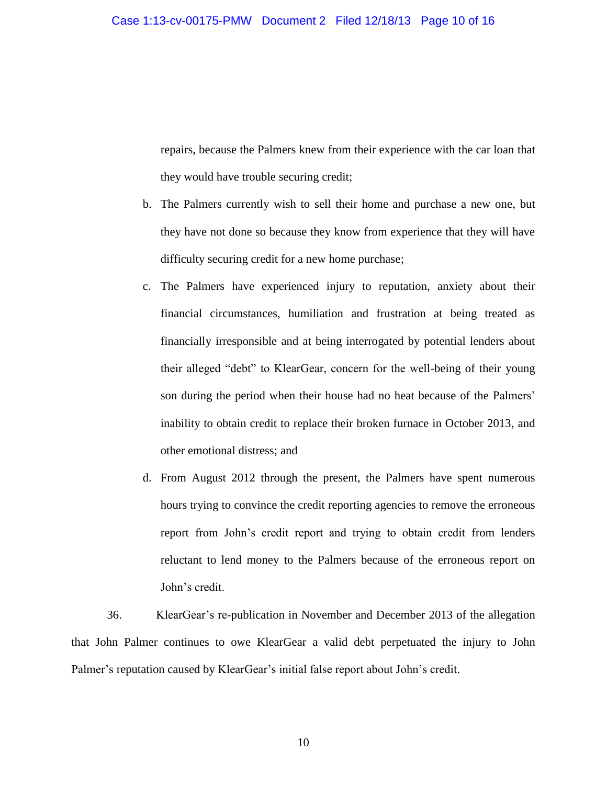repairs, because the Palmers knew from their experience with the car loan that they would have trouble securing credit;

- b. The Palmers currently wish to sell their home and purchase a new one, but they have not done so because they know from experience that they will have difficulty securing credit for a new home purchase;
- c. The Palmers have experienced injury to reputation, anxiety about their financial circumstances, humiliation and frustration at being treated as financially irresponsible and at being interrogated by potential lenders about their alleged "debt" to KlearGear, concern for the well-being of their young son during the period when their house had no heat because of the Palmers' inability to obtain credit to replace their broken furnace in October 2013, and other emotional distress; and
- d. From August 2012 through the present, the Palmers have spent numerous hours trying to convince the credit reporting agencies to remove the erroneous report from John's credit report and trying to obtain credit from lenders reluctant to lend money to the Palmers because of the erroneous report on John's credit.

36. KlearGear's re-publication in November and December 2013 of the allegation that John Palmer continues to owe KlearGear a valid debt perpetuated the injury to John Palmer's reputation caused by KlearGear's initial false report about John's credit.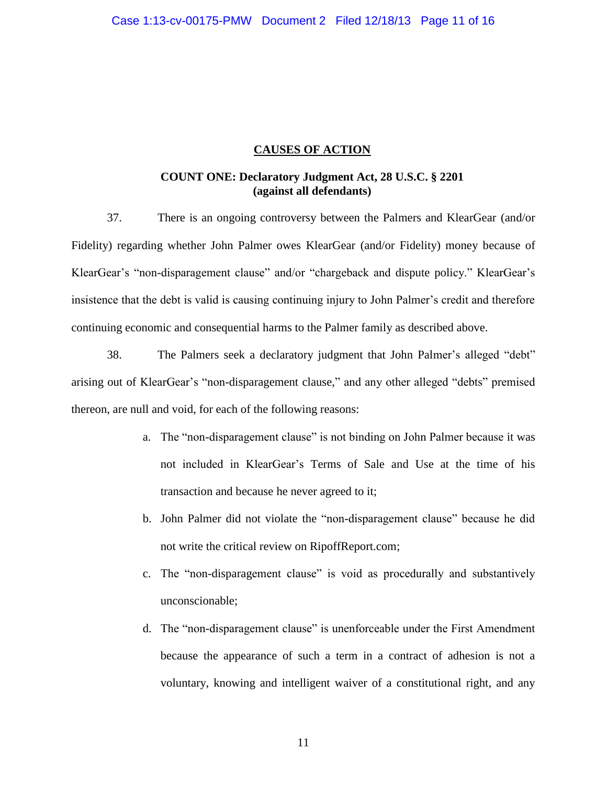### **CAUSES OF ACTION**

### **COUNT ONE: Declaratory Judgment Act, 28 U.S.C. § 2201 (against all defendants)**

37. There is an ongoing controversy between the Palmers and KlearGear (and/or Fidelity) regarding whether John Palmer owes KlearGear (and/or Fidelity) money because of KlearGear's "non-disparagement clause" and/or "chargeback and dispute policy." KlearGear's insistence that the debt is valid is causing continuing injury to John Palmer's credit and therefore continuing economic and consequential harms to the Palmer family as described above.

38. The Palmers seek a declaratory judgment that John Palmer's alleged "debt" arising out of KlearGear's "non-disparagement clause," and any other alleged "debts" premised thereon, are null and void, for each of the following reasons:

- a. The "non-disparagement clause" is not binding on John Palmer because it was not included in KlearGear's Terms of Sale and Use at the time of his transaction and because he never agreed to it;
- b. John Palmer did not violate the "non-disparagement clause" because he did not write the critical review on RipoffReport.com;
- c. The "non-disparagement clause" is void as procedurally and substantively unconscionable;
- d. The "non-disparagement clause" is unenforceable under the First Amendment because the appearance of such a term in a contract of adhesion is not a voluntary, knowing and intelligent waiver of a constitutional right, and any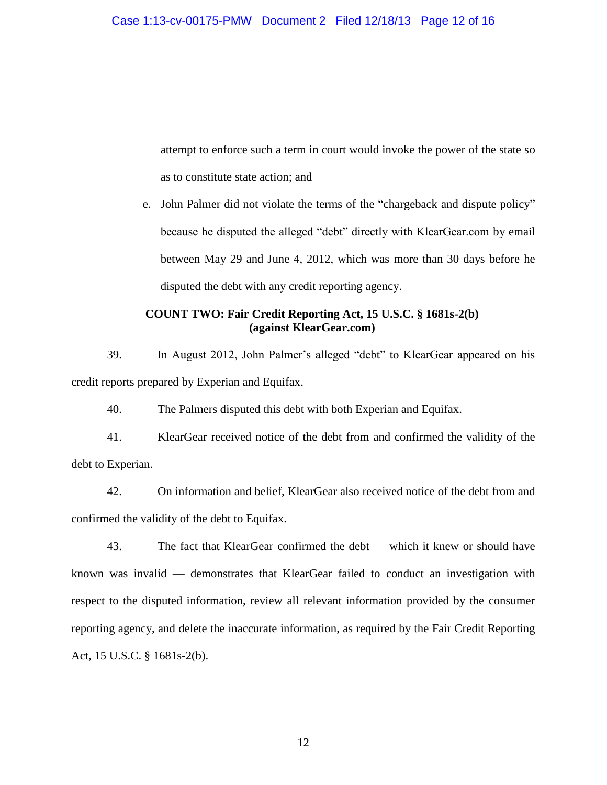attempt to enforce such a term in court would invoke the power of the state so as to constitute state action; and

e. John Palmer did not violate the terms of the "chargeback and dispute policy" because he disputed the alleged "debt" directly with KlearGear.com by email between May 29 and June 4, 2012, which was more than 30 days before he disputed the debt with any credit reporting agency.

## **COUNT TWO: Fair Credit Reporting Act, 15 U.S.C. § 1681s-2(b) (against KlearGear.com)**

39. In August 2012, John Palmer's alleged "debt" to KlearGear appeared on his credit reports prepared by Experian and Equifax.

40. The Palmers disputed this debt with both Experian and Equifax.

41. KlearGear received notice of the debt from and confirmed the validity of the debt to Experian.

42. On information and belief, KlearGear also received notice of the debt from and confirmed the validity of the debt to Equifax.

43. The fact that KlearGear confirmed the debt — which it knew or should have known was invalid — demonstrates that KlearGear failed to conduct an investigation with respect to the disputed information, review all relevant information provided by the consumer reporting agency, and delete the inaccurate information, as required by the Fair Credit Reporting Act, 15 U.S.C. § 1681s-2(b).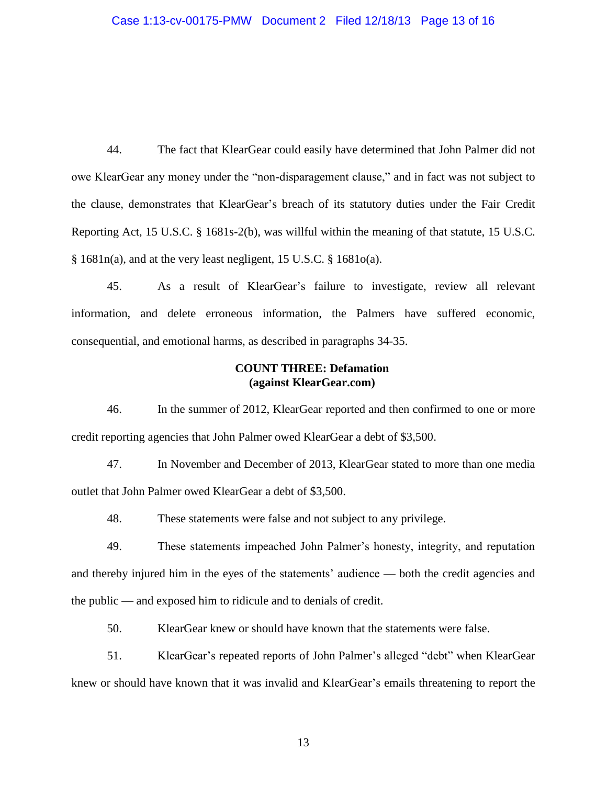44. The fact that KlearGear could easily have determined that John Palmer did not owe KlearGear any money under the "non-disparagement clause," and in fact was not subject to the clause, demonstrates that KlearGear's breach of its statutory duties under the Fair Credit Reporting Act, 15 U.S.C. § 1681s-2(b), was willful within the meaning of that statute, 15 U.S.C. § 1681n(a), and at the very least negligent, 15 U.S.C. § 1681o(a).

45. As a result of KlearGear's failure to investigate, review all relevant information, and delete erroneous information, the Palmers have suffered economic, consequential, and emotional harms, as described in paragraphs 34-35.

### **COUNT THREE: Defamation (against KlearGear.com)**

46. In the summer of 2012, KlearGear reported and then confirmed to one or more credit reporting agencies that John Palmer owed KlearGear a debt of \$3,500.

47. In November and December of 2013, KlearGear stated to more than one media outlet that John Palmer owed KlearGear a debt of \$3,500.

48. These statements were false and not subject to any privilege.

49. These statements impeached John Palmer's honesty, integrity, and reputation and thereby injured him in the eyes of the statements' audience — both the credit agencies and the public — and exposed him to ridicule and to denials of credit.

50. KlearGear knew or should have known that the statements were false.

51. KlearGear's repeated reports of John Palmer's alleged "debt" when KlearGear knew or should have known that it was invalid and KlearGear's emails threatening to report the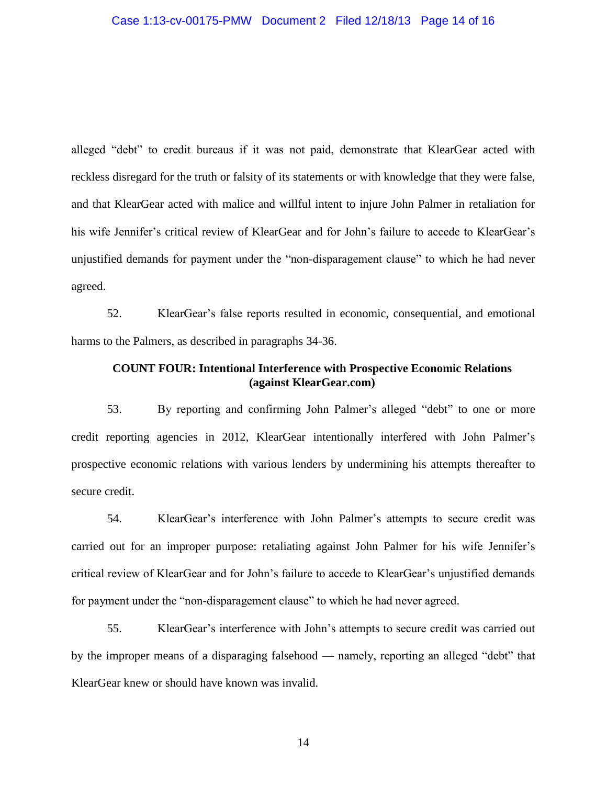alleged "debt" to credit bureaus if it was not paid, demonstrate that KlearGear acted with reckless disregard for the truth or falsity of its statements or with knowledge that they were false, and that KlearGear acted with malice and willful intent to injure John Palmer in retaliation for his wife Jennifer's critical review of KlearGear and for John's failure to accede to KlearGear's unjustified demands for payment under the "non-disparagement clause" to which he had never agreed.

52. KlearGear's false reports resulted in economic, consequential, and emotional harms to the Palmers, as described in paragraphs 34-36.

## **COUNT FOUR: Intentional Interference with Prospective Economic Relations (against KlearGear.com)**

53. By reporting and confirming John Palmer's alleged "debt" to one or more credit reporting agencies in 2012, KlearGear intentionally interfered with John Palmer's prospective economic relations with various lenders by undermining his attempts thereafter to secure credit.

54. KlearGear's interference with John Palmer's attempts to secure credit was carried out for an improper purpose: retaliating against John Palmer for his wife Jennifer's critical review of KlearGear and for John's failure to accede to KlearGear's unjustified demands for payment under the "non-disparagement clause" to which he had never agreed.

55. KlearGear's interference with John's attempts to secure credit was carried out by the improper means of a disparaging falsehood — namely, reporting an alleged "debt" that KlearGear knew or should have known was invalid.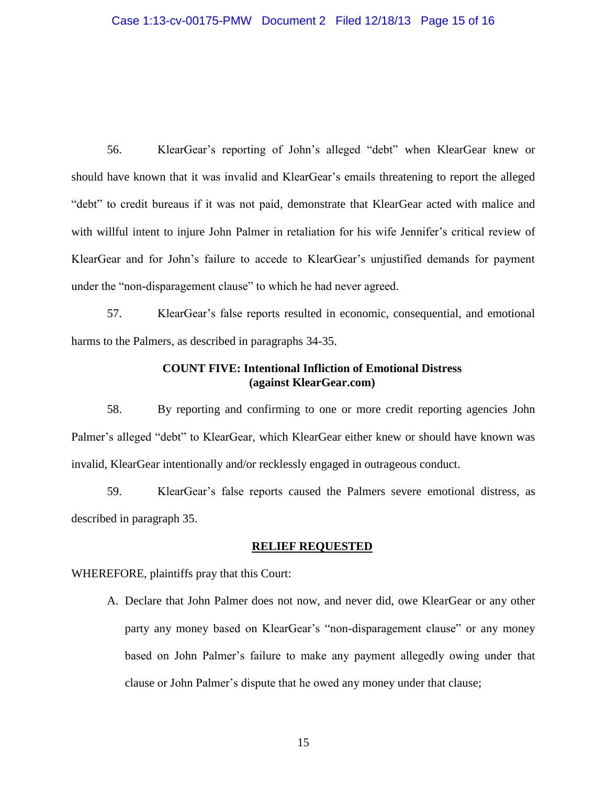56. KlearGear's reporting of John's alleged "debt" when KlearGear knew or should have known that it was invalid and KlearGear's emails threatening to report the alleged "debt" to credit bureaus if it was not paid, demonstrate that KlearGear acted with malice and with willful intent to injure John Palmer in retaliation for his wife Jennifer's critical review of KlearGear and for John's failure to accede to KlearGear's unjustified demands for payment under the "non-disparagement clause" to which he had never agreed.

57. KlearGear's false reports resulted in economic, consequential, and emotional harms to the Palmers, as described in paragraphs 34-35.

## **COUNT FIVE: Intentional Infliction of Emotional Distress (against KlearGear.com)**

58. By reporting and confirming to one or more credit reporting agencies John Palmer's alleged "debt" to KlearGear, which KlearGear either knew or should have known was invalid, KlearGear intentionally and/or recklessly engaged in outrageous conduct.

59. KlearGear's false reports caused the Palmers severe emotional distress, as described in paragraph 35.

### **RELIEF REQUESTED**

WHEREFORE, plaintiffs pray that this Court:

A. Declare that John Palmer does not now, and never did, owe KlearGear or any other party any money based on KlearGear's "non-disparagement clause" or any money based on John Palmer's failure to make any payment allegedly owing under that clause or John Palmer's dispute that he owed any money under that clause;